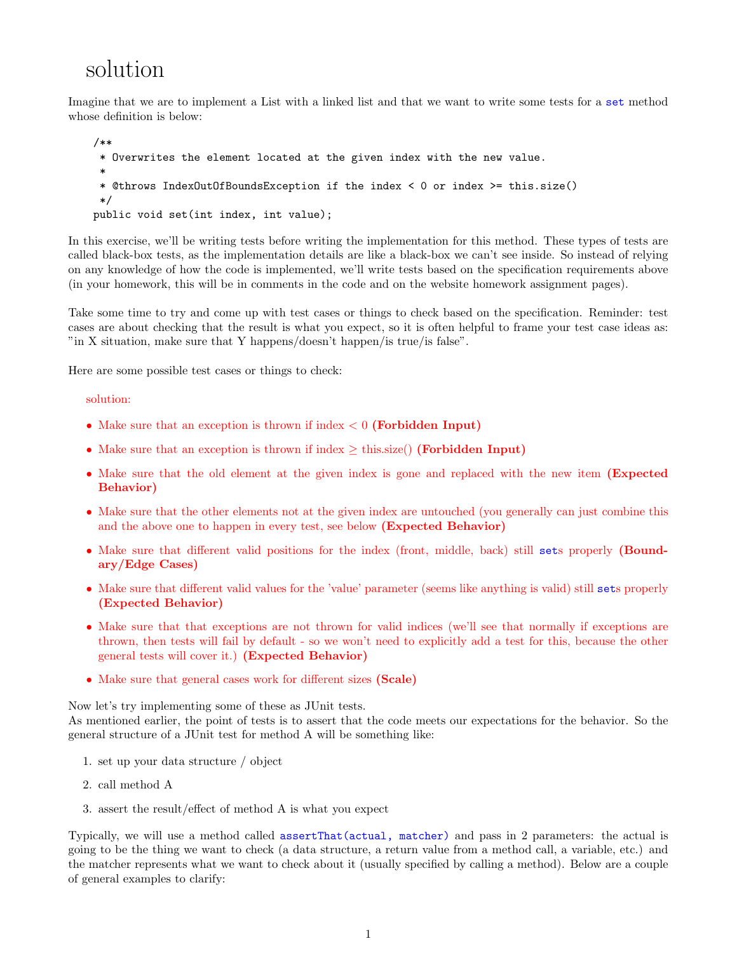## solution

Imagine that we are to implement a List with a linked list and that we want to write some tests for a set method whose definition is below:

```
/**
 * Overwrites the element located at the given index with the new value.
 *
 * @throws IndexOutOfBoundsException if the index < 0 or index >= this.size()
 */
public void set(int index, int value);
```
In this exercise, we'll be writing tests before writing the implementation for this method. These types of tests are called black-box tests, as the implementation details are like a black-box we can't see inside. So instead of relying on any knowledge of how the code is implemented, we'll write tests based on the specification requirements above (in your homework, this will be in comments in the code and on the website homework assignment pages).

Take some time to try and come up with test cases or things to check based on the specification. Reminder: test cases are about checking that the result is what you expect, so it is often helpful to frame your test case ideas as: "in X situation, make sure that Y happens/doesn't happen/is true/is false".

Here are some possible test cases or things to check:

## solution:

- Make sure that an exception is thrown if index  $< 0$  (Forbidden Input)
- Make sure that an exception is thrown if index  $\geq$  this.size() (Forbidden Input)
- Make sure that the old element at the given index is gone and replaced with the new item (Expected Behavior)
- Make sure that the other elements not at the given index are untouched (you generally can just combine this and the above one to happen in every test, see below (Expected Behavior)
- Make sure that different valid positions for the index (front, middle, back) still sets properly (Boundary/Edge Cases)
- Make sure that different valid values for the 'value' parameter (seems like anything is valid) still sets properly (Expected Behavior)
- Make sure that that exceptions are not thrown for valid indices (we'll see that normally if exceptions are thrown, then tests will fail by default - so we won't need to explicitly add a test for this, because the other general tests will cover it.) (Expected Behavior)
- Make sure that general cases work for different sizes (Scale)

Now let's try implementing some of these as JUnit tests.

As mentioned earlier, the point of tests is to assert that the code meets our expectations for the behavior. So the general structure of a JUnit test for method A will be something like:

- 1. set up your data structure / object
- 2. call method A
- 3. assert the result/effect of method A is what you expect

Typically, we will use a method called assertThat(actual, matcher) and pass in 2 parameters: the actual is going to be the thing we want to check (a data structure, a return value from a method call, a variable, etc.) and the matcher represents what we want to check about it (usually specified by calling a method). Below are a couple of general examples to clarify: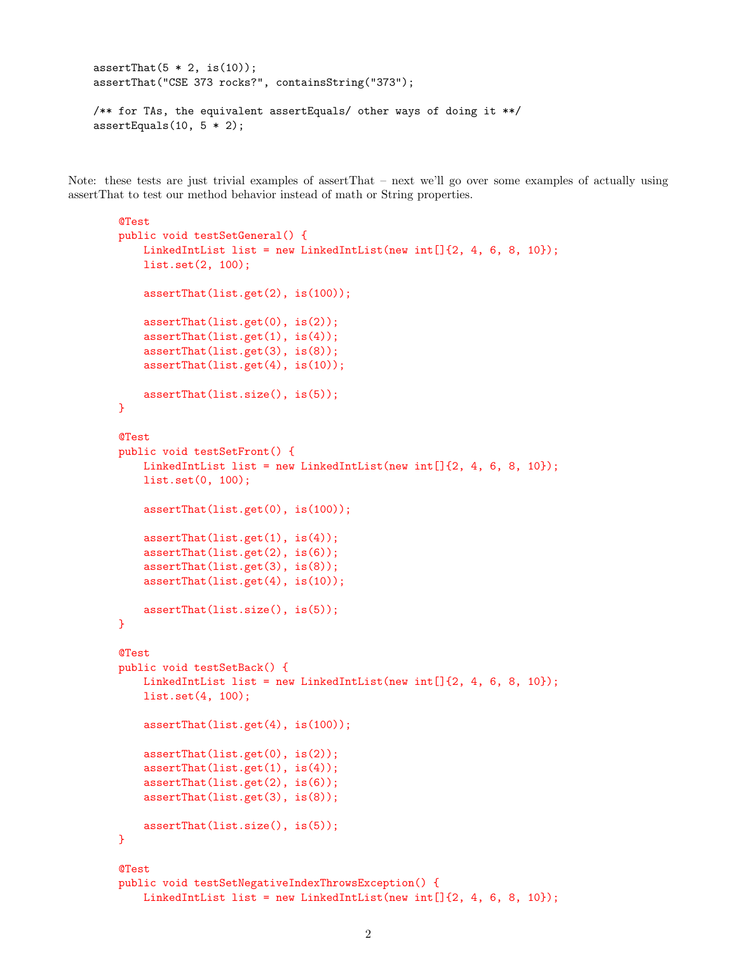```
assertThat(5 * 2, is(10));assertThat("CSE 373 rocks?", containsString("373");
/** for TAs, the equivalent assertEquals/ other ways of doing it **/
assertEquals(10, 5 * 2);
```
Note: these tests are just trivial examples of assertThat – next we'll go over some examples of actually using assertThat to test our method behavior instead of math or String properties.

```
@Test
public void testSetGeneral() {
   LinkedIntList list = new LinkedIntList(new int[]\{2, 4, 6, 8, 10\};list.set(2, 100);
    assertThat(list.get(2), is(100));
    assertThat(list.get(0), is(2));
    assertThat(list.get(1), is(4));
    assertThat(list.get(3), is(8));
    assertThat(list.get(4), is(10));
    assertThat(list.size(), is(5));
}
@Test
public void testSetFront() {
   LinkedIntList list = new LinkedIntList(new int[]{2, 4, 6, 8, 10});
   list.set(0, 100);
    assertThat(list.get(0), is(100));
    assertThat(list.get(1), is(4));
    assertThat(list.get(2), is(6));
    assertThat(list.get(3), is(8));
    assertThat(list.get(4), is(10));
    assertThat(list.size(), is(5));
}
@Test
public void testSetBack() {
   LinkedIntList list = new LinkedIntList(new int[]\{2, 4, 6, 8, 10\};
   list.set(4, 100);
    assertThat(list.get(4), is(100));
    assertThat(list.get(0), is(2));
    assertThat(list.get(1), is(4));
    assertThat(list.get(2), is(6));
    assertThat(list.get(3), is(8));
    assertThat(list.size(), is(5));
}
@Test
public void testSetNegativeIndexThrowsException() {
```

```
LinkedIntList list = new LinkedIntList(new int[]{2, 4, 6, 8, 10});
```